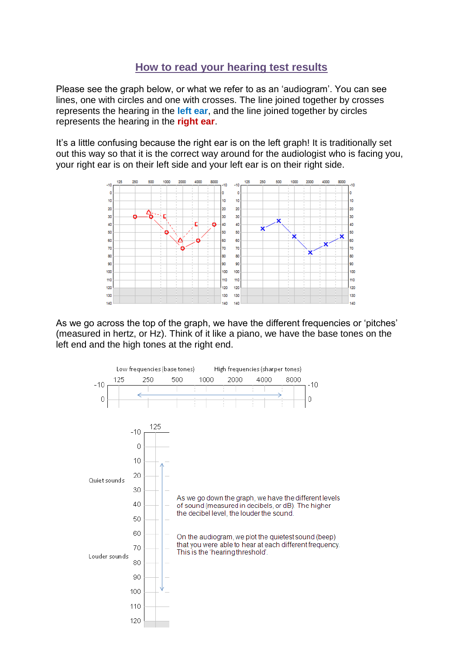## **How to read your hearing test results**

Please see the graph below, or what we refer to as an 'audiogram'. You can see lines, one with circles and one with crosses. The line joined together by crosses represents the hearing in the **left ear**, and the line joined together by circles represents the hearing in the **right ear**.

It's a little confusing because the right ear is on the left graph! It is traditionally set out this way so that it is the correct way around for the audiologist who is facing you, your right ear is on their left side and your left ear is on their right side.



As we go across the top of the graph, we have the different frequencies or 'pitches' (measured in hertz, or Hz). Think of it like a piano, we have the base tones on the left end and the high tones at the right end.

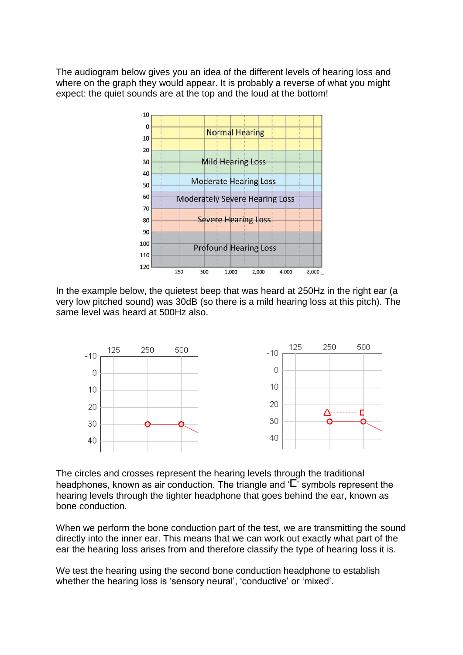The audiogram below gives you an idea of the different levels of hearing loss and where on the graph they would appear. It is probably a reverse of what you might expect: the quiet sounds are at the top and the loud at the bottom!



In the example below, the quietest beep that was heard at 250Hz in the right ear (a very low pitched sound) was 30dB (so there is a mild hearing loss at this pitch). The same level was heard at 500Hz also.



The circles and crosses represent the hearing levels through the traditional headphones, known as air conduction. The triangle and  $\mathcal{F}$  symbols represent the hearing levels through the tighter headphone that goes behind the ear, known as bone conduction.

When we perform the bone conduction part of the test, we are transmitting the sound directly into the inner ear. This means that we can work out exactly what part of the ear the hearing loss arises from and therefore classify the type of hearing loss it is.

We test the hearing using the second bone conduction headphone to establish whether the hearing loss is 'sensory neural', 'conductive' or 'mixed'.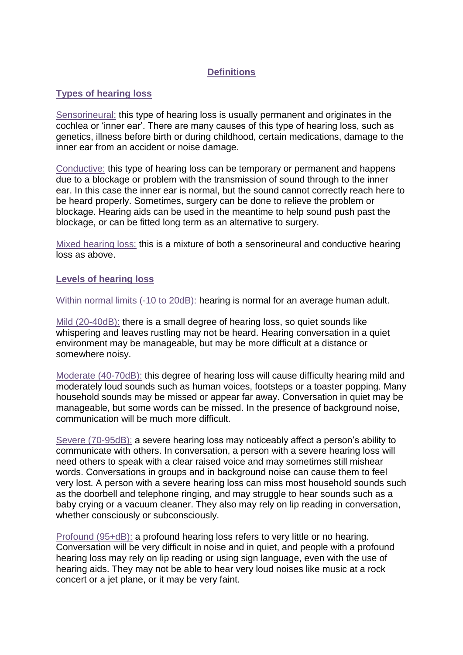## **Definitions**

## **Types of hearing loss**

Sensorineural: this type of hearing loss is usually permanent and originates in the cochlea or 'inner ear'. There are many causes of this type of hearing loss, such as genetics, illness before birth or during childhood, certain medications, damage to the inner ear from an accident or noise damage.

Conductive: this type of hearing loss can be temporary or permanent and happens due to a blockage or problem with the transmission of sound through to the inner ear. In this case the inner ear is normal, but the sound cannot correctly reach here to be heard properly. Sometimes, surgery can be done to relieve the problem or blockage. Hearing aids can be used in the meantime to help sound push past the blockage, or can be fitted long term as an alternative to surgery.

Mixed hearing loss: this is a mixture of both a sensorineural and conductive hearing loss as above.

## **Levels of hearing loss**

Within normal limits (-10 to 20dB): hearing is normal for an average human adult.

Mild (20-40dB): there is a small degree of hearing loss, so quiet sounds like whispering and leaves rustling may not be heard. Hearing conversation in a quiet environment may be manageable, but may be more difficult at a distance or somewhere noisy.

Moderate (40-70dB): this degree of hearing loss will cause difficulty hearing mild and moderately loud sounds such as human voices, footsteps or a toaster popping. Many household sounds may be missed or appear far away. Conversation in quiet may be manageable, but some words can be missed. In the presence of background noise, communication will be much more difficult.

Severe (70-95dB): a severe hearing loss may noticeably affect a person's ability to communicate with others. In conversation, a person with a severe hearing loss will need others to speak with a clear raised voice and may sometimes still mishear words. Conversations in groups and in background noise can cause them to feel very lost. A person with a severe hearing loss can miss most household sounds such as the doorbell and telephone ringing, and may struggle to hear sounds such as a baby crying or a vacuum cleaner. They also may rely on lip reading in conversation, whether consciously or subconsciously.

Profound (95+dB): a profound hearing loss refers to very little or no hearing. Conversation will be very difficult in noise and in quiet, and people with a profound hearing loss may rely on lip reading or using sign language, even with the use of hearing aids. They may not be able to hear very loud noises like music at a rock concert or a jet plane, or it may be very faint.